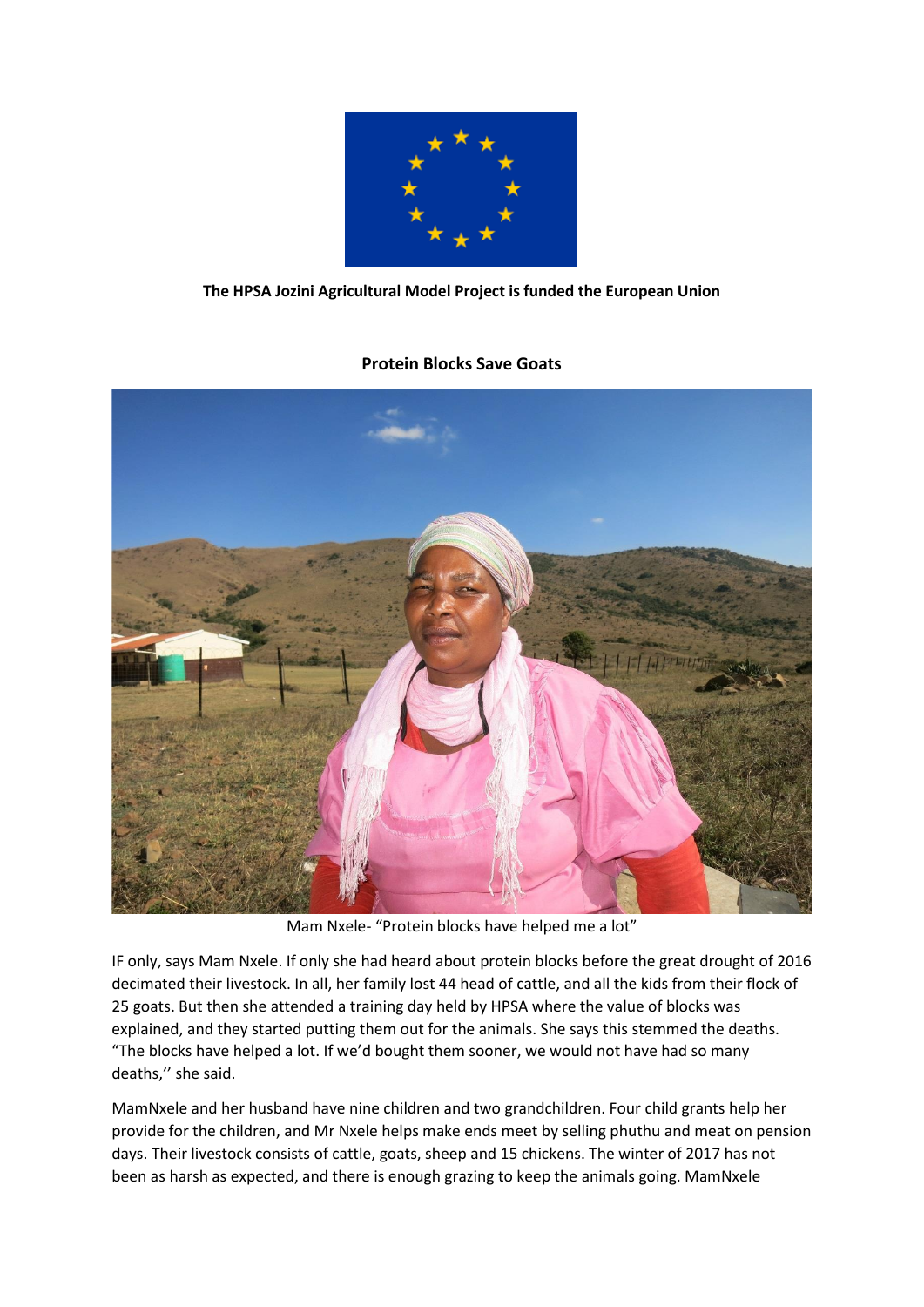

## **The HPSA Jozini Agricultural Model Project is funded the European Union**

## **Protein Blocks Save Goats**



Mam Nxele- "Protein blocks have helped me a lot"

IF only, says Mam Nxele. If only she had heard about protein blocks before the great drought of 2016 decimated their livestock. In all, her family lost 44 head of cattle, and all the kids from their flock of 25 goats. But then she attended a training day held by HPSA where the value of blocks was explained, and they started putting them out for the animals. She says this stemmed the deaths. "The blocks have helped a lot. If we'd bought them sooner, we would not have had so many deaths,'' she said.

MamNxele and her husband have nine children and two grandchildren. Four child grants help her provide for the children, and Mr Nxele helps make ends meet by selling phuthu and meat on pension days. Their livestock consists of cattle, goats, sheep and 15 chickens. The winter of 2017 has not been as harsh as expected, and there is enough grazing to keep the animals going. MamNxele